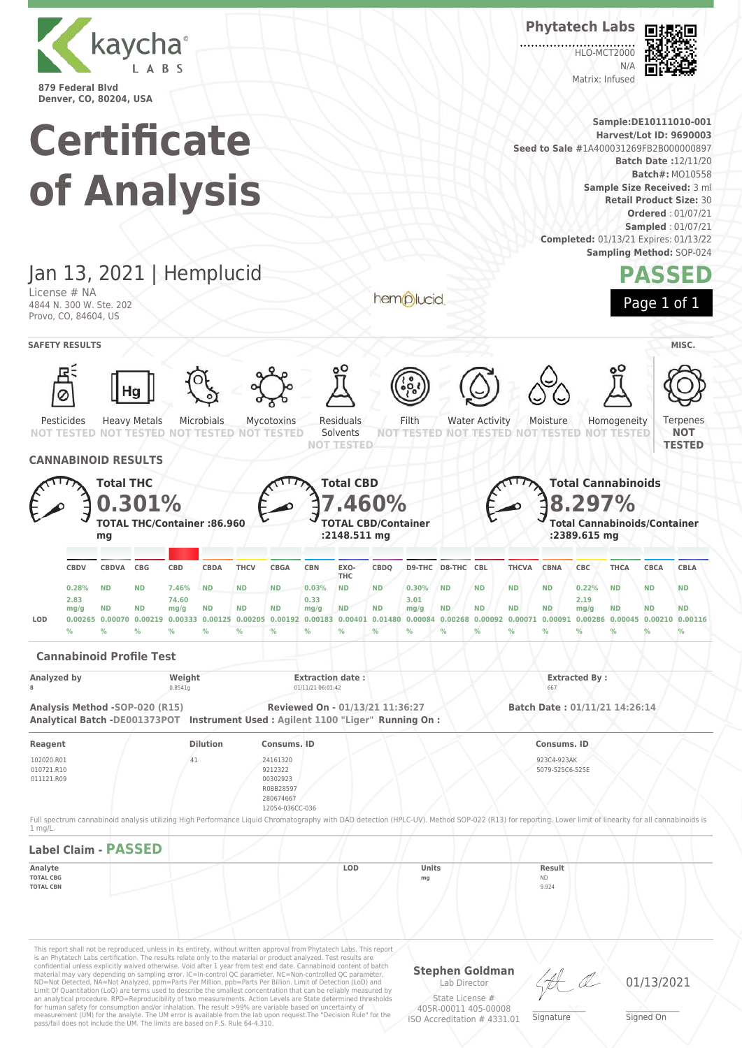

**Certificate of Analysis**

Jan 13, 2021 | Hemplucid

Heavy Metals

Microbials

Mycotoxins

Residuals

License # NA 4844 N. 300 W. Ste. 202 Provo, CO, 84604, US

Pesticides

 $\overline{O}$ 

HLO-MCT2000  $N/L$ Matrix: Infused

**Phytatech Labs**



**Sample:DE10111010-001 Harvest/Lot ID: 9690003 Seed to Sale #**1A400031269FB2B000000897 **Batch Date :**12/11/20 **Batch#:** MO10558 **Sample Size Received:** 3 ml **Retail Product Size:** 30 **Ordered** : 01/07/21 **Sampled** : 01/07/21 **Completed:** 01/13/21 Expires: 01/13/22 **Sampling Method:** SOP-024 **PASSED** hemplucid Page 1 of 1 **SAFETY RESULTS** MISC. Filth Water Activity Ternenes Moisture Homogeneity

**NOT**



This report shall not be reproduced, unless in its entirety, without written approval from Phytatech Labs. This report is an Phytatech Labs certification. The results relate only to the material or product analyzed. Test results are<br>confidential unless explicitly waived otherwise. Void after 1 year from test end date. Cannabinoid content o Limit Of Quantitation (LoQ) are terms used to describe the smallest concentration that can be reliably measured by an analytical procedure. RPD=Reproducibility of two measurements. Action Levels are State determined thresholds for human safety for consumption and/or inhalation. The result >99% are variable based on uncertainty of measurement (UM) for the analyte. The UM error is available from the lab upon request.The "Decision Rule" for the pass/fail does not include the UM. The limits are based on F.S. Rule 64-4.310.

**Stephen Goldman** Lab Director State License #

405R-00011 405-00008 ISO Accreditation # 4331.01

\_\_\_\_\_\_\_\_\_\_\_\_\_\_\_\_\_\_\_ Signature

01/13/2021

\_\_\_\_\_\_\_\_\_\_\_\_\_\_\_\_\_\_\_ Signed On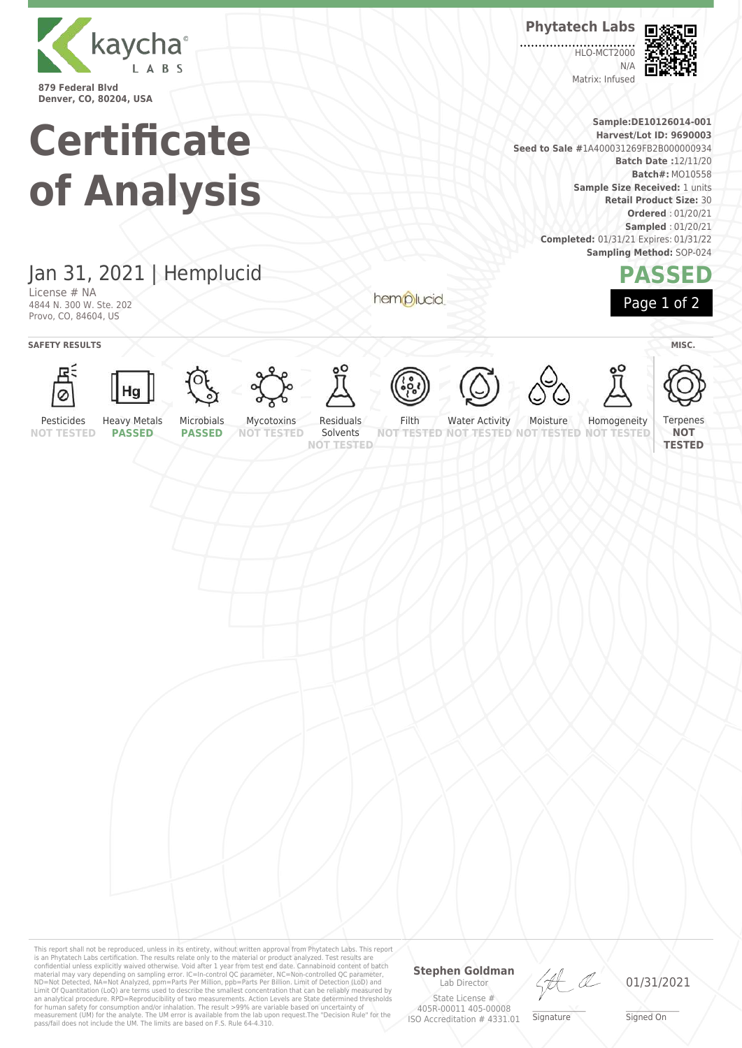

**Denver, CO, 80204, USA**

# **Certificate of Analysis**

**Phytatech Labs**

**HLO-MCT2000**  $N/4$ Matrix: Infused



**Sample:DE10126014-001 Harvest/Lot ID: 9690003 Seed to Sale #**1A400031269FB2B000000934 **Batch Date :**12/11/20 **Batch#:** MO10558 **Sample Size Received:** 1 units **Retail Product Size:** 30 **Ordered** : 01/20/21 **Sampled** : 01/20/21 **Completed:** 01/31/21 Expires: 01/31/22 **Sampling Method:** SOP-024



Jan 31, 2021 | Hemplucid

License # NA 4844 N. 300 W. Ste. 202 Provo, CO, 84604, US

**SAFETY RESULTS** MISC.



























Pesticides **NOT TESTED**

Solvents **NOT TESTED**

hemplucid

Water Activity Moisture **TESTED NOT** 

Homogeneity **NOT TESTED** Terpenes **NOT TESTED**

**PASSED**

**PASSED**

**NOT TESTED NOT TESTED**

This report shall not be reproduced, unless in its entirety, without written approval from Phytatech Labs. This report<br>is an Phytatech Labs certification. The results relate only to the material or product analyzed. Test

### **Stephen Goldman** Lab Director

State License # 405R-00011 405-00008 ISO Accreditation # 4331.01

HA

\_\_\_\_\_\_\_\_\_\_\_\_\_\_\_\_\_\_\_ Signature

01/31/2021

\_\_\_\_\_\_\_\_\_\_\_\_\_\_\_\_\_\_\_ Signed On





Residuals

Filth